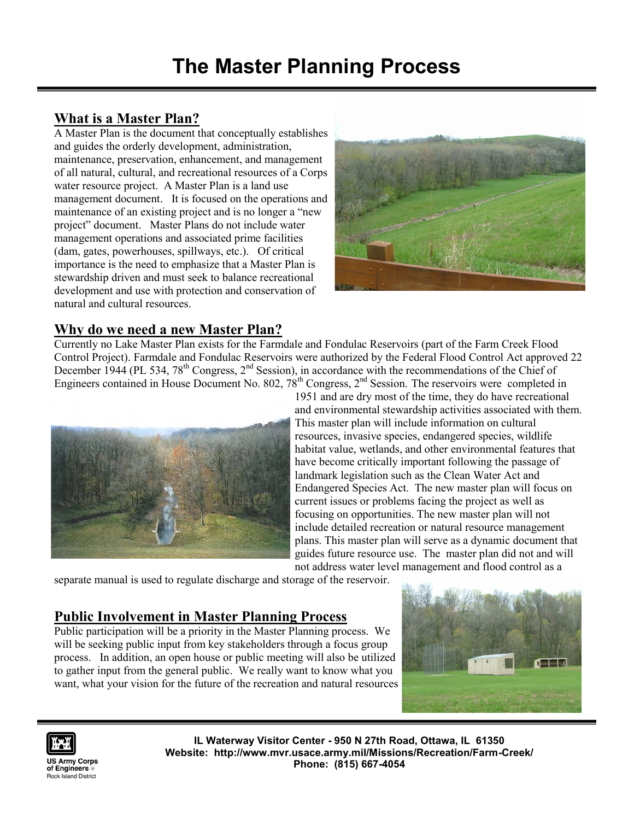# **What is a Master Plan?**

A Master Plan is the document that conceptually establishes and guides the orderly development, administration, maintenance, preservation, enhancement, and management of all natural, cultural, and recreational resources of a Corps water resource project. A Master Plan is a land use management document. It is focused on the operations and maintenance of an existing project and is no longer a "new project" document. Master Plans do not include water management operations and associated prime facilities (dam, gates, powerhouses, spillways, etc.). Of critical importance is the need to emphasize that a Master Plan is stewardship driven and must seek to balance recreational development and use with protection and conservation of natural and cultural resources.



#### **Why do we need a new Master Plan?**

Currently no Lake Master Plan exists for the Farmdale and Fondulac Reservoirs (part of the Farm Creek Flood Control Project). Farmdale and Fondulac Reservoirs were authorized by the Federal Flood Control Act approved 22 December 1944 (PL 534, 78<sup>th</sup> Congress,  $2<sup>nd</sup>$  Session), in accordance with the recommendations of the Chief of Engineers contained in House Document No. 802, 78<sup>th</sup> Congress, 2<sup>nd</sup> Session. The reservoirs were completed in



1951 and are dry most of the time, they do have recreational

and environmental stewardship activities associated with them. This master plan will include information on cultural resources, invasive species, endangered species, wildlife habitat value, wetlands, and other environmental features that have become critically important following the passage of landmark legislation such as the Clean Water Act and Endangered Species Act. The new master plan will focus on current issues or problems facing the project as well as focusing on opportunities. The new master plan will not include detailed recreation or natural resource management plans. This master plan will serve as a dynamic document that guides future resource use. The master plan did not and will not address water level management and flood control as a

separate manual is used to regulate discharge and storage of the reservoir.

### **Public Involvement in Master Planning Process**

Public participation will be a priority in the Master Planning process. We will be seeking public input from key stakeholders through a focus group process. In addition, an open house or public meeting will also be utilized to gather input from the general public. We really want to know what you want, what your vision for the future of the recreation and natural resources





**IL Waterway Visitor Center - 950 N 27th Road, Ottawa, IL 61350 Website: http://www.mvr.usace.army.mil/Missions/Recreation/Farm-Creek/ Phone: (815) 667-4054**